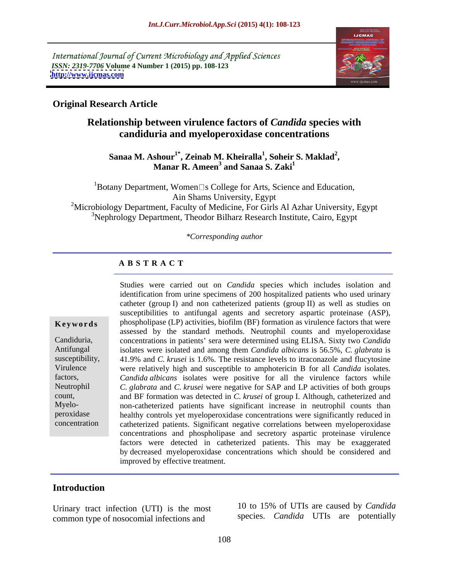International Journal of Current Microbiology and Applied Sciences *ISSN: 2319-7706* Volume 4 Number 1 (2015) pp. 108-123<br>http://www.ijcmas.com **<http://www.ijcmas.com>**



### **Original Research Article**

## **Relationship between virulence factors of** *Candida* **species with candiduria and myeloperoxidase concentrations**

**Sanaa M. Ashour1\* , Zeinab M. Kheiralla<sup>1</sup> , Soheir S. Maklad<sup>2</sup>** Manar R. Ameen<sup>3</sup> and Sanaa S. Zaki<sup>1</sup>  **and Sanaa S. Zaki<sup>1</sup>**

 ${}^{1}$ Botany Department, Women $\square$ s College for Arts, Science and Education, Ain Shams University, Egypt <sup>2</sup>Microbiology Department, Faculty of Medicine, For Girls Al Azhar University, Egypt  $3$ Nephrology Department, Theodor Bilharz Research Institute, Cairo, Egypt

*\*Corresponding author*

### **A B S T R A C T**

concentration

Studies were carried out on *Candida* species which includes isolation and identification from urine specimens of 200 hospitalized patients who used urinary catheter (group I) and non catheterized patients (group II) as well as studies on susceptibilities to antifungal agents and secretory aspartic proteinase (ASP), **Keywords** phospholipase (LP) activities, biofilm (BF) formation as virulence factors that were assessed by the standard methods. Neutrophil counts and myeloperoxidase Candiduria, concentrations in patients' sera were determined using ELISA. Sixty two *Candida* isolates were isolated and among them *Candida albicans* is 56.5%, *C. glabrata* is Antifungal susceptibility, 41.9% and *C. krusei* is 1.6%. The resistance levels to itraconazole and flucytosine Virulence were relatively high and susceptible to amphotericin B for all *Candida* isolates. factors, Candida albicans isolates were positive for all the virulence factors while Neutrophil C. glabrata and C. krusei were negative for SAP and LP activities of both groups and BF formation was detected in *C. krusei* of group I. Although, catheterized and count, non-catheterized patients have significant increase in neutrophil counts than Myelo healthy controls yet myeloperoxidase concentrations were significantly reduced in peroxidase catheterized patients. Significant negative correlations between myeloperoxidase concentrations and phospholipase and secretory aspartic proteinase virulence factors were detected in catheterized patients. This may be exaggerated by decreased myeloperoxidase concentrations which should be considered and improved by effective treatment.

### **Introduction**

Urinary tract infection (UTI) is the most common type of nosocomial infections and

10 to 15% of UTIs are caused by *Candida* species. *Candida* UTIs are potentially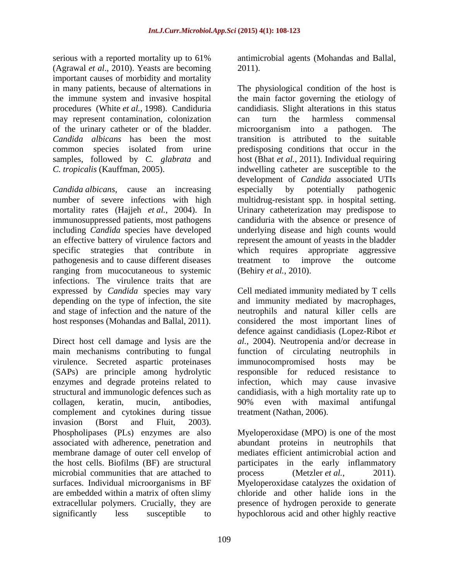serious with a reported mortality up to 61% antimicrobial agents (Mohandas and Ballal, (Agrawal *et al*., 2010). Yeasts are becoming important causes of morbidity and mortality may represent contamination, colonization can turn the harmless commensal of the urinary catheter or of the bladder. microorganism into a pathogen. The samples, followed by *C. glabrata* and

specific strategies that contribute in which requires appropriate aggressive pathogenesis and to cause different diseases ranging from mucocutaneous to systemic (Behiry *et al.*, 2010). infections. The virulence traits that are expressed by *Candida* species may vary Cell mediated immunity mediated by T cells depending on the type of infection, the site and stage of infection and the nature of the host responses (Mohandas and Ballal, 2011). considered the most important lines of

Direct host cell damage and lysis are the main mechanisms contributing to fungal tunction of circulating neutrophils in virulence. Secreted aspartic proteinases (SAPs) are principle among hydrolytic enzymes and degrade proteins related to infection, which may cause invasive structural and immunologic defences such as candidiasis, with a high mortality rate up to collagen, keratin, mucin, antibodies, complement and cytokines during tissue invasion (Borst and Fluit, 2003). microbial communities that are attached to  $\qquad$  process  $(Metzler et al., 2011).$ surfaces. Individual microorganisms in BF significantly less susceptible to hypochlorous acid and other highly reactive

antimicrobial agents (Mohandas and Ballal, 2011).

in many patients, because of alternations in The physiological condition of the host is the immune system and invasive hospital the main factor governing the etiology of procedures (White *et al.*, 1998). Candiduria candidiasis. Slight alterations in this status *Candida albicans* has been the most transition is attributed to the suitable common species isolated from urine predisposing conditions that occur in the *C. tropicalis* (Kauffman, 2005). indwelling catheter are susceptible to the *Candida albicans*, cause an increasing number of severe infections with high multidrug-resistant spp. in hospital setting. mortality rates (Hajjeh *et al.*, 2004). In Urinary catheterization may predispose to immunosuppressed patients, most pathogens candiduria with the absence or presence of including *Candida* species have developed underlying disease and high counts would an effective battery of virulence factors and represent the amount of yeasts in the bladder can turn the harmless commensal microorganism into a pathogen. The host (Bhat *et al.*, 2011). Individual requiring development of *Candida* associated UTIs especially by potentially pathogenic which requires appropriate aggressive treatment to improve the outcome (Behiry *et al.*, 2010).

> and immunity mediated by macrophages, neutrophils and natural killer cells are defence against candidiasis (Lopez-Ribot *et al.*, 2004). Neutropenia and/or decrease in function of circulating neutrophils immunocompromised hosts may be responsible for reduced resistance 90% even with maximal antifungal treatment (Nathan, 2006).

Phospholipases (PLs) enzymes are also Myeloperoxidase (MPO) is one of the most associated with adherence, penetration and abundant proteins in neutrophils that membrane damage of outer cell envelop of mediates efficient antimicrobial action and the host cells. Biofilms (BF) are structural participates in the early inflammatory are embedded within a matrix of often slimy chloride and other halide ions in the extracellular polymers. Crucially, they are presence of hydrogen peroxide to generate process (Metzler *et al.*, 2011). Myeloperoxidase catalyzes the oxidation of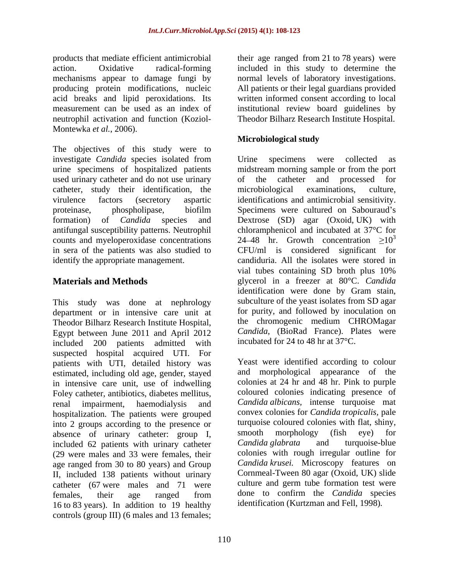products that mediate efficient antimicrobial their age ranged from 21 to 78 years) were action. Oxidative radical-forming included in this study to determine the mechanisms appear to damage fungi by normal levels of laboratory investigations. producing protein modifications, nucleic All patients or their legal guardians provided acid breaks and lipid peroxidations. Its written informed consent according to local measurement can be used as an index of institutional review board guidelines by neutrophil activation and function (Koziol- Theodor Bilharz Research Institute Hospital. Montewka *et al.*, 2006).

The objectives of this study were to investigate *Candida* species isolated from Urine specimens were collected as urine specimens of hospitalized patients used urinary catheter and do not use urinary of the catheter and processed for catheter, study their identification, the virulence factors (secretory aspartic proteinase, phospholipase, biofilm Specimens were cultured on Sabouraud's formation) of *Candida* species and Dextrose (SD) agar (Oxoid, UK) with antifungal susceptibility patterns. Neutrophil chloramphenicol and incubated at 37°C for counts and myeloperoxidase concentrations in sera of the patients was also studied to identify the appropriate management. candiduria. All the isolates were stored in

This study was done at nephrology department or in intensive care unit at Theodor Bilharz Research Institute Hospital, Egypt between June 2011 and April 2012 included 200 patients admitted with incubated for 24 to 48 hr at  $37^{\circ}$ C. suspected hospital acquired UTI. For patients with UTI, detailed history was estimated, including old age, gender, stayed in intensive care unit, use of indwelling Foley catheter, antibiotics, diabetes mellitus, hospitalization. The patients were grouped into 2 groups according to the presence or turquoise coloured colonies with flat, shiny, absence of urinary catheter: group I smooth morphology (fish eye) for absence of urinary catheter: group I, smooth morphology (fish eye) for included 62 patients with urinary catheter Candida glabrata and turquoise-blue included 62 patients with urinary catheter (29 were males and 33 were females, their age ranged from 30 to 80 years) and Group II, included 138 patients without urinary catheter (67 were males and 71 were 16 to 83 years). In addition to 19 healthy controls (group III) (6 males and 13 females;

### **Microbiological study**

**Materials and Methods** glycerol in a freezer at 80°C. *Candida* Urine specimens were collected as midstream morning sample or from the port of the catheter and processed for microbiological examinations, culture, identifications and antimicrobial sensitivity.<br>Specimens were cultured on Sabouraud's 24–48 hr. Growth concentration  $\geq 10^3$ 3 CFU/ml is considered significant for vial tubes containing SD broth plus 10% identification were done by Gram stain, subculture of the yeast isolates from SD agar for purity, and followed by inoculation on the chromogenic medium CHROMagar *Candida*, (BioRad France). Plates were incubated for 24 to 48 hr at 37°C.

renal impairment, haemodialysis and *Candida albicans,* intense turquoise mat females, their age ranged from done to confirm the Candida species Yeast were identified according to colour and morphological appearance of the colonies at 24 hr and 48 hr. Pink to purple coloured colonies indicating presence of convex colonies for *Candida tropicalis,* pale turquoise coloured colonies with flat, shiny, smooth morphology (fish eye) for *Candida glabrata* and turquoise-blue colonies with rough irregular outline for *Candida krusei.* Microscopy features on Cornmeal-Tween 80 agar (Oxoid, UK) slide culture and germ tube formation test were done to confirm the *Candida* species identification (Kurtzman and Fell, 1998)*.*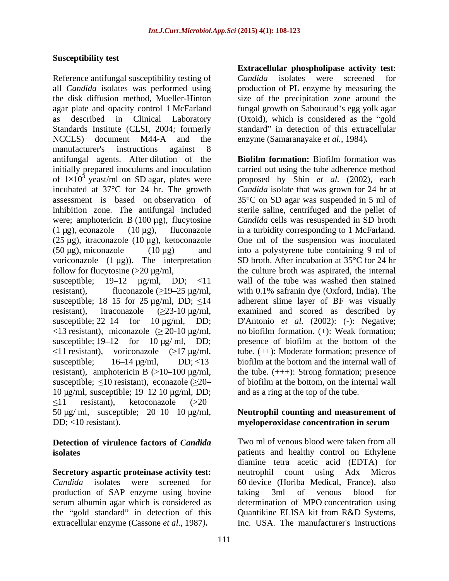### **Susceptibility test**

Reference antifungal susceptibility testing of Candida isolates were screened for all *Candida* isolates was performed using production of PL enzyme by measuring the the disk diffusion method, Mueller-Hinton size of the precipitation zone around the agar plate and opacity control 1 McFarland fungal growth on Sabouraud's egg yolk agar as described in Clinical Laboratory Standards Institute (CLSI, 2004; formerly NCCLS) document M44-A and the enzyme (Samaranayake *et al.*, 1984). manufacturer's instructions against 8 antifungal agents. After dilution of the **Biofilm formation:** Biofilm formation was initially prepared inoculums and inoculation were; amphotericin B (100 µg), flucytosine voriconazole  $(1 \mu g)$ . The interpretation

 $<$ 13 resistant), miconazole ( $\geq$  20-10 µg/ml, susceptible;  $\leq 10$  resistant), econazole ( $\geq 20$ -10  $\mu$ g/ml, susceptible; 19–12 10  $\mu$ g/ml, DD; 11 resistant), ketoconazole (>20 50 µg/ ml, susceptible; 20 10 10 µg/ml, **Neutrophil counting and measurement of** DD; <10 resistant). **IDD:**  $\leq$ 10 resistant).

# **Detection of virulence factors of** *Candida*

**Secretory aspartic proteinase activity test:** neutrophil count using Adx Micros production of SAP enzyme using bovine taking 3ml of venous blood for

*Candida* isolates were screened for  $(Oxoid)$ , which is considered as the "gold" standard" in detection of this extracellular enzyme (Samaranayake *et al.*, 1984)*.*

of  $1 \times 10^3$  yeast/ml on SD agar, plates were proposed by Shin *et al.* (2002), each incubated at 37°C for 24 hr. The growth *Candida* isolate that was grown for 24 hr at assessment is based on observation of 35°C on SD agar was suspended in 5 ml of inhibition zone. The antifungal included sterile saline, centrifuged and the pellet of (1 µg), econazole (10 µg), fluconazole in a turbidity corresponding to 1 McFarland. (25 µg), itraconazole (10 µg), ketoconazole One ml of the suspension was inoculated  $(50 \,\mu$ g), miconazole  $(10 \,\mu$ g) and into a polystyrene tube containing 9 ml of follow for flucytosine (>20 µg/ml, the culture broth was aspirated, the internal susceptible;  $19-12$   $\mu$ g/ml, DD;  $\leq 11$  wall of the tube was washed then stained resistant), fluconazole  $(\geq 19-25 \text{ µg/ml})$ , with 0.1% safranin dye (Oxford, India). The susceptible; 18–15 for 25  $\mu$ g/ml, DD;  $\leq$ 14 adherent slime layer of BF was visually resistant), itraconazole  $(\geq 23.10 \,\mu\text{g/ml})$ , examined and scored as described by susceptible; 22–14 for 10 µg/ml, DD; D'Antonio *et al.* (2002): (-): Negative; susceptible;  $19-12$  for  $10 \mu g/ml$ , DD; presence of biofilm at the bottom of the 11 resistant), voriconazole  $(\geq 17 \,\mu\text{g/ml})$ , tube.  $(++)$ : Moderate formation; presence of susceptible;  $16-14 \,\mu g/ml$ ,  $DD$ ;  $\leq 13$  biofilm at the bottom and the internal wall of resistant), amphotericin B  $(>10-100 \text{ µg/ml})$  the tube.  $(++)$ : Strong formation; presence Reference antifungel susceptibility usting of **Cassolinia** phospholipase activity test<br>
if Cassions was performed using probability desire accounts of the may<br>sugge by measured using the distribution results of the maximu **Biofilm formation:** Biofilm formation was carried out using the tube adherence method *Candida* cells was resuspended in SD broth SD broth. After incubation at 35°C for 24 hr no biofilm formation. (+): Weak formation; of biofilm at the bottom, on the internal wall and as a ring at the top of the tube.

# **myeloperoxidase concentration in serum**

**isolates** patients and healthy control on Ethylene *Candida* isolates were screened for 60 device (Horiba Medical, France), also serum albumin agar which is considered as determination of MPO concentration using the "gold standard" in detection of this Quantikine ELISA kit from R&D Systems, Two ml of venous blood were taken from all diamine tetra acetic acid (EDTA) for neutrophil count using Adx Micros taking 3ml of venous blood for Inc. USA. The manufacturer's instructions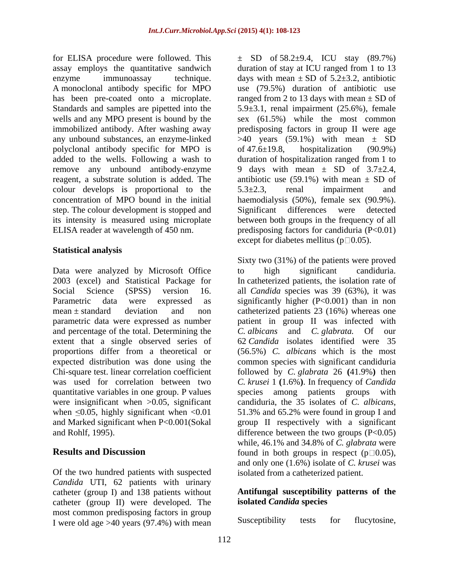Standards and samples are pipetted into the polyclonal antibody specific for MPO is of 47.6±19.8, hospitalization (90.9%) colour develops is proportional to the  $5.3\pm 2.3$ , renal impairment and step. The colour development is stopped and Significant differences were detected

### **Statistical analysis**

Data were analyzed by Microsoft Office to high significant candiduria. 2003 (excel) and Statistical Package for Social Science (SPSS) version 16. all *Candida* species was 39 (63%), it was Parametric data were expressed as significantly higher (P<0.001) than in non mean ± standard deviation and non catheterized patients 23 (16%) whereas one parametric data were expressed as number patient in group II was infected with and percentage of the total. Determining the C. albicans and C. glabrata. Of our extent that a single observed series of proportions differ from a theoretical or (56.5%) *C. albicans* which is the most expected distribution was done using the common species with significant candiduria Chi-square test. linear correlation coefficient followed by *C. glabrata* 26 **(**41.9%**)** then was used for correlation between two *C. krusei* 1 **(**1.6%**)**. In frequency of *Candida* quantitative variables in one group. P values were insignificant when  $>0.05$ , significant candiduria, the 35 isolates of C. albicans, when  $\leq 0.05$ , highly significant when  $\leq 0.01$  51.3% and 65.2% were found in group I and and Marked significant when P<0.001(Sokal group II respectively with a significant

Of the two hundred patients with suspected *Candida* UTI, 62 patients with urinary catheter (group I) and 138 patients without catheter (group II) were developed. The most common predisposing factors in group<br>
I were old age  $>40$  years (97.4%) with mean<br>
Susceptibility tests for flucytosine, I were old age  $>40$  years (97.4%) with mean

for ELISA procedure were followed. This  $\pm$  SD of 58.2 $\pm$ 9.4, ICU stay (89.7%) assay employs the quantitative sandwich duration of stay at ICU ranged from 1 to 13 enzyme immunoassay technique. days with mean  $\pm$  SD of 5.2 $\pm$ 3.2, antibiotic A monoclonal antibody specific for MPO use (79.5%) duration of antibiotic use has been pre-coated onto a microplate. ranged from 2 to 13 days with mean  $\pm$  SD of wells and any MPO present is bound by the sex (61.5%) while the most common immobilized antibody. After washing away predisposing factors in group II were age any unbound substances, an enzyme-linked  $>40$  years (59.1%) with mean  $\pm$  SD added to the wells. Following a wash to duration of hospitalization ranged from 1 to remove any unbound antibody-enzyme  $\qquad$  9 days with mean  $\pm$  SD of 3.7 $\pm$ 2.4, reagent, a substrate solution is added. The antibiotic use  $(59.1\%)$  with mean  $\pm$  SD of concentration of MPO bound in the initial haemodialysis (50%), female sex (90.9%). its intensity is measured using microplate between both groups in the frequency of all ELISA reader at wavelength of 450 nm. The predisposing factors for candiduria (P<0.01)  $5.9\pm3.1$ , renal impairment (25.6%), female of 47.6±19.8, hospitalization (90.9%)  $5.3 \pm 2.3$ , renal impairment and Significant differences were detected except for diabetes mellitus ( $p \Box 0.05$ ).

and Rohlf, 1995). difference between the two groups (P<0.05) **Results and Discussion** found in both groups in respect (p $\Box$ 0.05), Sixty two (31%) of the patients were proved to high significant candiduria. In catheterized patients, the isolation rate of *C. albicans* and *C. glabrata.* 62 *Candida* isolates identified were 35 species among patients groups candiduria, the 35 isolates of *C. albicans*, 51.3% and 65.2% were found in group I and while, 46.1% and 34.8% of *C. glabrata* were and only one (1.6%) isolate of *C. krusei* was isolated from a catheterized patient.

### **Antifungal susceptibility patterns of the isolated** *Candida* **species**

Susceptibility tests for flucytosine,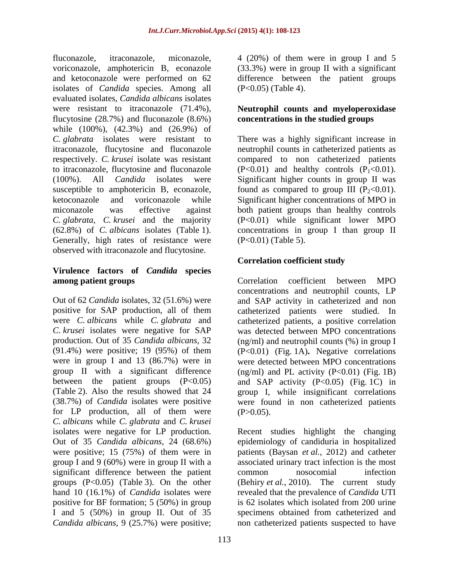fluconazole, itraconazole, miconazole, 4 (20%) of them were in group I and 5 voriconazole, amphotericin B, econazole (33.3%) were in group II with a significant and ketoconazole were performed on 62 isolates of *Candida* species. Among all evaluated isolates, *Candida albicans* isolates were resistant to itraconazole (71.4%), flucytosine (28.7%) and fluconazole (8.6%) while (100%), (42.3%) and (26.9%) of *C. glabrata* isolates were resistant to There was a highly significant increase in itraconazole, flucytosine and fluconazole neutrophil counts in catheterized patients as respectively. *C. krusei* isolate was resistant compared to non catheterized patients to itraconazole, flucytosine and fluconazole  $(P<0.01)$  and healthy controls  $(P_1<0.01)$ . (100%). All *Candida* isolates were Significant higher counts in group II was susceptible to amphotericin B, econazole, found as compared to group III ( $P_2 < 0.01$ ). ketoconazole and voriconazole while Significant higher concentrations of MPO in miconazole was effective against both patient groups than healthy controls *C. glabrata*, *C. krusei* and the majority (P<0.01) while significant lower MPO (62.8%) of *C. albicans* isolates (Table 1). concentrations in group I than group II Generally, high rates of resistance were observed with itraconazole and flucytosine.

### **Virulence factors of** *Candida* **species among patient groups** Correlation coefficient between MPO

for  $LP$  production, all of them were  $(P>0.05)$ . *C. albicans* while *C. glabrata* and *C. krusei* significant difference between the patient common nosocomial infection *Candida albicans*, 9 (25.7%) were positive;

difference between the patient groups (P<0.05) (Table 4).

### **Neutrophil counts and myeloperoxidase concentrations in the studied groups**

(P<0.01) (Table 5).

## **Correlation coefficient study**

Out of 62 *Candida* isolates, 32 (51.6%) were and SAP activity in catheterized and non positive for SAP production, all of them catheterized patients were studied. In were *C. albicans* while *C. glabrata* and catheterized patients, a positive correlation *C. krusei* isolates were negative for SAP was detected between MPO concentrations production. Out of 35 *Candida albicans*, 32 (ng/ml) and neutrophil counts (%) in group I (91.4%) were positive; 19 (95%) of them (P<0.01) (Fig. 1A)**.** Negative correlations were in group I and 13 (86.7%) were in were detected between MPO concentrations group II with a significant difference (ng/ml) and PL activity (P<0.01) (Fig. 1B) between the patient groups (P<0.05) and SAP activity (P<0.05) (Fig. 1C) in (Table 2). Also the results showed that 24 group I, while insignificant correlations (38.7%) of *Candida* isolates were positive were found in non catheterized patients Correlation coefficient between MPO concentrations and neutrophil counts, LP  $(P>0.05)$ .

isolates were negative for LP production. Recent studies highlight the changing Out of 35 *Candida albicans*, 24 (68.6%) epidemiology of candiduria in hospitalized were positive; 15 (75%) of them were in patients (Baysan *et al.*, 2012) and catheter group I and 9 (60%) were in group II with a associated urinary tract infection is the most groups (P<0.05) (Table 3). On the other (Behiry *et al.*, 2010). The current study hand 10 (16.1%) of *Candida* isolates were revealed that the prevalence of *Candida* UTI positive for BF formation; 5 (50%) in group is 62 isolates which isolated from 200 urine I and 5 (50%) in group II. Out of 35 specimens obtained from catheterized and common nosocomial infection non catheterized patients suspected to have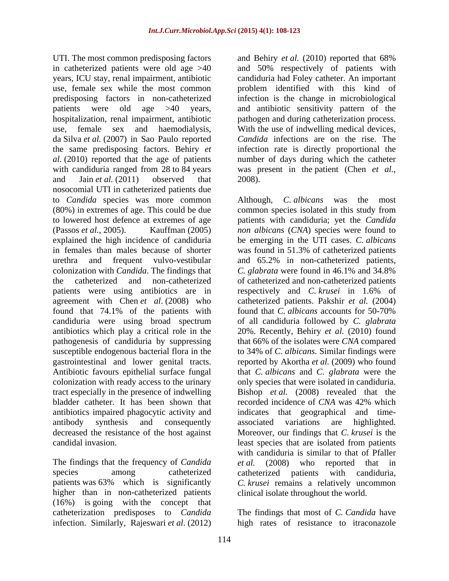UTI. The most common predisposing factors and Behiry et al. (2010) reported that 68% in catheterized patients were old age >40 and 50% respectively of patients with years, ICU stay, renal impairment, antibiotic candiduria had Foley catheter. An important use, female sex while the most common problem identified with this kind of predisposing factors in non-catheterized infection is the change in microbiological patients were old age >40 years, and antibiotic sensitivity pattern of the hospitalization, renal impairment, antibiotic pathogen and during catheterization process. use, female sex and haemodialysis, With the use of indwelling medical devices, da Silva *et al.* (2007) in Sao Paulo reported the same predisposing factors. Behiry *et al.* (2010) reported that the age of patients number of days during which the catheter with candiduria ranged from 28 to 84 years was present in the patient (Chen et al., and Jain *et al.* (2011) observed that 2008). nosocomial UTI in catheterized patients due to *Candida* species was more common (80%) in extremes of age. This could be due common species isolated in this study from to lowered host defence at extremes of age patients with candiduria; yet the *Candida*  (Passos *et al.*, 2005). Kauffman (2005) *non albicans* (*CNA*) species were found to explained the high incidence of candiduria be emerging in the UTI cases. *C. albicans*  in females than males because of shorter was found in 51.3% of catheterized patients urethra and frequent vulvo-vestibular and 65.2% in non-catheterized patients, colonization with *Candida*. The findings that the catheterized and non-catheterized of catheterized and non-catheterized patients patients were using antibiotics are in respectively and C. krusei in 1.6% of agreement with Chen *et al*. (2008) who found that 74.1% of the patients with candiduria were using broad spectrum antibiotics which play a critical role in the 20%. Recently, Behiry *et al.* (2010) found pathogenesis of candiduria by suppressing that 66% of the isolates were *CNA* compared susceptible endogenous bacterial flora in the to 34% of *C. albicans.* Similar findings were gastrointestinal and lower genital tracts. reported by Akortha *et al.* (2009) who found Antibiotic favours epithelial surface fungal that *C. albicans* and *C. glabrata* were the colonization with ready access to the urinary only species that were isolated in candiduria. tract especially in the presence of indwelling bladder catheter. It has been shown that recorded incidence of CNA was 42% which antibiotics impaired phagocytic activity and indicates that geographical and time antibody synthesis and consequently decreased the resistance of the host against Moreover, our findings that *C. krusei* is the

The findings that the frequency of *Candida* et al. (2008) who reported that in higher than in non-catheterized patients (16%) is going with the concept that catheterization predisposes to *Candida* The findings that mostof *C. Candida* have

and Behiry *et al.* (2010) reported that 68% *Candida* infections are on the rise. The infection rate is directly proportional the was present in the patient (Chen *et al.*, 2008).

candidal invasion. least species that are isolated from patients species among catheterized catheterized patients with candiduria, patients was 63% which is significantly *C. krusei* remains a relatively uncommon Although, *C. albicans* was *C. glabrata* were found in 46.1% and 34.8% respectively and *C. krusei* in 1.6% of catheterized patients. Pakshir *et al.* (2004) found that *C. albicans* accounts for 50-70% of all candiduria followed by *C. glabrata* Bishop *et al.* (2008) revealed that the recorded incidence of *CNA* was 42% which associated variations are highlighted. with candiduria is similar to that of Pfaller *et al.* (2008) who reported that in catheterized patients with candiduria, clinical isolate throughout the world.

infection. Similarly, Rajeswari *et al*. (2012) high rates of resistance to itraconazole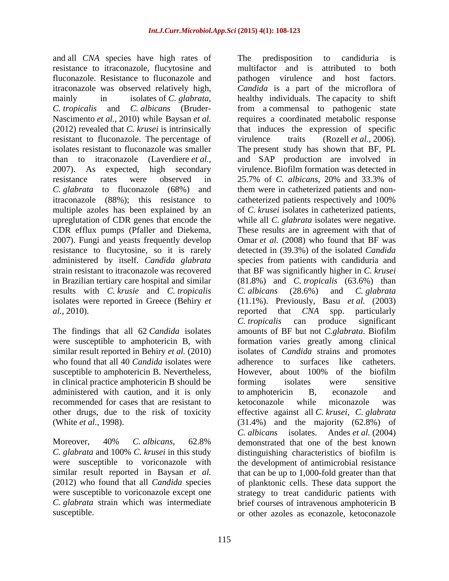and all *CNA* species have high rates of The predisposition to candiduria is resistance to itraconazole, flucytosine and fluconazole. Resistance to fluconazole and pathogen virulence and host factors. resistant to fluconazole. The percentage of virulence traits (Rozell *et al.*, 2006). resistance rates were observed in 25.7% of C. albicans, 20% and 33.3% of itraconazole (88%); this resistance to resistance to flucytosine, so it is rarely results with *C. krusie* and *C. tropicalis al.*, 2010). The reported that CNA spp. particularly

who found that all 40 *Candida* isolates were adherence to surfaces like catheters. susceptible to amphotericin B. Nevertheless, However, about 100% of the biofilm in clinical practice amphotericin B should be forming isolates were sensitive administered with caution, and it is only recommended for cases that are resistant to betoconazole while miconazole was

itraconazole was observed relatively high, *Candida* is a part of the microflora of mainly in isolates of *C. glabrata*, healthy individuals. The capacity to shift *C. tropicalis* and *C. albicans* (Bruder- from a commensal to pathogenic state Nascimento *et al.*, 2010) while Baysan *et al.* requires a coordinated metabolic response (2012) revealed that *C. krusei*is intrinsically that induces the expression of specific isolates resistant to fluconazole was smaller The present study has shown that BF, PL than to itraconazole (Laverdiere *et al.*, and SAP production are involved in 2007). As expected, high secondary virulence. Biofilm formation was detected in *C. glabrata* to fluconazole (68%) and them were in catheterized patients and non multiple azoles has been explained by an of *C. krusei* isolates in catheterized patients, upreglutation of CDR genes that encode the while all *C. glabrata* isolates were negative. CDR efflux pumps (Pfaller and Diekema, These results are in agreement with that of 2007). Fungi and yeasts frequently develop Omar *et al.* (2008) who found that BF was administered by itself. *Candida glabrata* species from patients with candiduria and strain resistant to itraconazole was recovered that BF was significantly higher in *C. krusei* in Brazilian tertiary care hospital and similar (81.8%) and *C. tropicalis* (63.6%) than isolates were reported in Greece (Behiry *et*  (11.1%). Previously, Basu *et al.* (2003) The findings that all 62 *Candida* isolates amounts of BF but not *C.glabrata*. Biofilm were susceptible to amphotericin B, with formation varies greatly among clinical similar result reported in Behiry *et al.* (2010) isolates of *Candida* strains and promotes other drugs, due to the risk of toxicity effective against all *C. krusei, C. glabrata*  (White *et al.*, 1998). (31.4%) and the majority (62.8%) of Moreover, 40% *C. albicans*, 62.8% demonstrated that one of the best known *C. glabrata* and 100% *C. krusei* in this study distinguishing characteristics of biofilm is were susceptible to voriconazole with the development of antimicrobial resistance similar result reported in Baysan *et al.* that can be up to 1,000-fold greater than that (2012) who found that all *Candida* species of planktonic cells. These data support the were susceptible to voriconazole except one strategy to treat candiduric patients with *C. glabrata* strain which was intermediate brief courses of intravenous amphotericin B susceptible. or other azoles as econazole, ketoconazoleThe predisposition to candiduria is multifactor and is attributed to both pathogen virulence and host factors. virulence traits (Rozell *et al.*, 2006). 25.7% of *C. albicans*, 20% and 33.3% of catheterized patients respectively and 100% detected in (39.3%) of the isolated *Candida C. albicans* (28.6%) and *C. glabrata* reported that *CNA* spp. particularly *C. tropicalis* can produce significant adherence to surfaces like However, about 100% of the biofilm forming isolates were sensitive to amphotericin B, econazole and ketoconazole while miconazole was *C. albicans* isolates. Andes *et al.* (2004)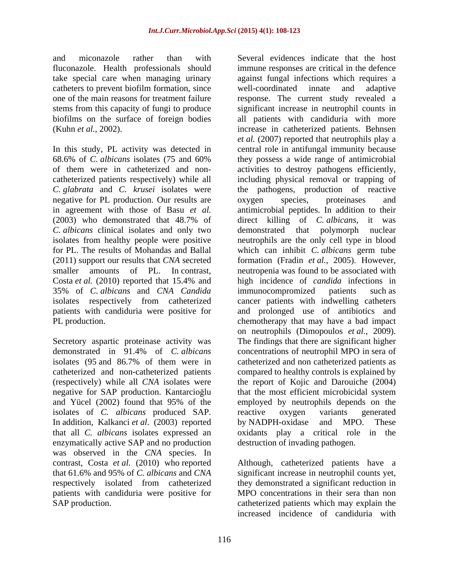fluconazole. Health professionals should catheters to prevent biofilm formation, since

negative for PL production. Our results are oxygen species, proteinases and 35% of *C. albicans* and *CNA Candida*

Secretory aspartic proteinase activity was<br>demonstrated in 91.4% of *C. albicans* isolates of *C. albicans* produced SAP. In addition, Kalkanci *et al.* (2003) reported by NADPH-oxidase and MPO. These enzymatically active SAP and no production was observed in the *CNA* species. In contrast, Costa *et al.* (2010) who reported Although, catheterized patients have a that 61.6% and 95% of *C. albicans* and *CNA*  significant increase in neutrophil counts yet, respectively isolated from catheterized they demonstrated a significant reduction in patients with candiduria were positive for MPO concentrations in their sera than non SAP production. catheterized patients which may explain the

and miconazole rather than with Several evidences indicate that the host take special care when managing urinary against fungal infections which requires a one of the main reasons for treatment failure response. The current study revealed a stems from this capacity of fungi to produce significant increase in neutrophil counts in biofilms on the surface of foreign bodies all patients with candiduria with more (Kuhn *et al.*, 2002). increase in catheterized patients. Behnsen In this study, PL activity was detected in central role in antifungal immunity because 68.6% of *C. albicans* isolates (75 and 60% of them were in catheterized and non- activities to destroy pathogens efficiently, catheterized patients respectively) while all including physical removal or trapping of *C. glabrata* and *C. krusei* isolates were the pathogens, production of reactive in agreement with those of Basu *et al.* antimicrobial peptides. In addition to their (2003) who demonstrated that 48.7% of direct killing of *C. albicans*, it was *C. albicans* clinical isolates and only two demonstrated that polymorph nuclear isolates from healthy people were positive neutrophils are the only cell type in blood for PL. The results of Mohandas and Ballal which can inhibit *C. albicans* germ tube (2011) support our results that *CNA* secreted formation (Fradin *et al.*, 2005). However, smaller amounts of PL. In contrast, neutropenia was found to be associated with Costa *et al.* (2010) reported that 15.4% and ligh incidence of *candida* infections in isolates respectively from catheterized cancer patients with indwelling catheters patients with candiduria were positive for and prolonged use of antibiotics and PL production. chemotherapy that may have a bad impact demonstrated in 91.4% of *C. albicans* concentrations of neutrophil MPO in sera of isolates (95 and 86.7% of them were in catheterized and non catheterized patients as catheterized and non-catheterized patients compared to healthy controls is explained by (respectively) while all *CNA* isolates were the report of Kojic and Darouiche (2004) negative for SAP production. Kantarcioğlu hat the most efficient microbicidal system and Yücel (2002) found that 95% of the that all *C. albicans* isolates expressed an oxidants play a critical role in the immune responses are critical in the defence well-coordinated innate and adaptive *et al.* (2007) reported that neutrophils play a they possess a wide range of antimicrobial oxygen species, proteinases and direct killing of *C. albicans*, it was high incidence of *candida* infections in immunocompromized patients such as on neutrophils (Dimopoulos *et al.*, 2009). The findings that there are significant higher catheterized and non catheterized patients as employed by neutrophils depends on the reactive oxygen variants generated by NADPH-oxidase and MPO. These destruction of invading pathogen.

increased incidence of candiduria with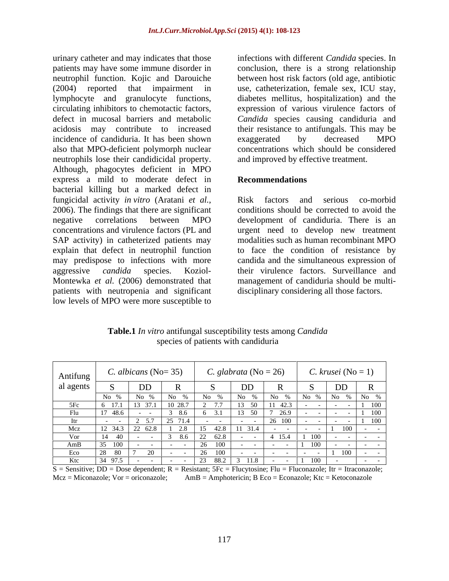urinary catheter and may indicates that those infections with different *Candida* species. In patients may have some immune disorder in conclusion, there is a strong relationship neutrophil function. Kojic and Darouiche between host risk factors (old age, antibiotic (2004) reported that impairment in use, catheterization, female sex, ICU stay, lymphocyte and granulocyte functions, diabetes mellitus, hospitalization) and the circulating inhibitors to chemotactic factors, expression of various virulence factors of defect in mucosal barriers and metabolic *Candida* species causing candiduria and acidosis may contribute to increased their resistance to antifungals. This may be incidence of candiduria. It has been shown exaggerated by decreased MPO also that MPO-deficient polymorph nuclear neutrophils lose their candidicidal property. Although, phagocytes deficient in MPO express a mild to moderate defect in **Recommendations** bacterial killing but a marked defect in fungicidal activity *in vitro* (Aratani *et al.*, 2006). The findings that there are significant conditions should be corrected to avoid the negative correlations between MPO development of candiduria. There is an concentrations and virulence factors (PL and urgent need to develop new treatment SAP activity) in catheterized patients may modalities such as human recombinant MPO explain that defect in neutrophil function to face the condition of resistance by may predispose to infections with more candida and the simultaneous expression of aggressive *candida* species. Koziol- their virulence factors. Surveillance and Montewka *et al.* (2006) demonstrated that management of candiduria should be multi patients with neutropenia and significant low levels of MPO were more susceptible to

exaggerated by decreased MPO concentrations which should be considered and improved by effective treatment.

### **Recommendations**

Risk factors and serious co-morbid disciplinary considering all those factors.

| Table.1<br>tibility tests among C<br><i>vitro</i> antifungal suscept<br>Candida |  |
|---------------------------------------------------------------------------------|--|
| s with candiduria<br><sup>-</sup> patients<br>$\epsilon$ pecies                 |  |

| Antifung      |          | <i>C. albicans</i> (No= 35) $\vert$ |           | C. glabrata (No = 26) |                             |       |    | $C.$ krusei (No = 1)             |
|---------------|----------|-------------------------------------|-----------|-----------------------|-----------------------------|-------|----|----------------------------------|
| al agents     |          |                                     |           |                       |                             |       | DI |                                  |
|               |          |                                     |           |                       |                             |       |    | No %   No %   No %   No %   No % |
|               |          |                                     |           |                       |                             |       |    |                                  |
| - FIII -      | 17 48.6  | and the state of the state of       | 5 X D     |                       |                             |       |    |                                  |
|               |          |                                     |           |                       | 100 F                       | .     |    |                                  |
|               |          |                                     |           |                       |                             |       |    |                                  |
| $\frac{V}{V}$ |          |                                     | <b>X6</b> |                       |                             |       |    |                                  |
| AmB           | 100      | and the state of the state of the   |           |                       |                             |       |    |                                  |
| ECO           |          |                                     |           |                       | $\sim$ $\sim$ $\sim$ $\sim$ |       |    |                                  |
| Ktc           | 34 Y/5 I | and the state of the state of       |           |                       |                             | 100 l |    | and the contract of the          |

 $S =$  Sensitive; DD = Dose dependent; R = Resistant;  $5Fc =$  Flucytosine; Flu = Fluconazole; Itr = Itraconazole; Mcz = Miconazole; Vor = oriconazole; AmB = Amphotericin: B Eco = Econazole; Ktc = Ketoconazole  $AmB = Amphotericin$ ; B Eco = Econazole; Ktc = Ketoconazole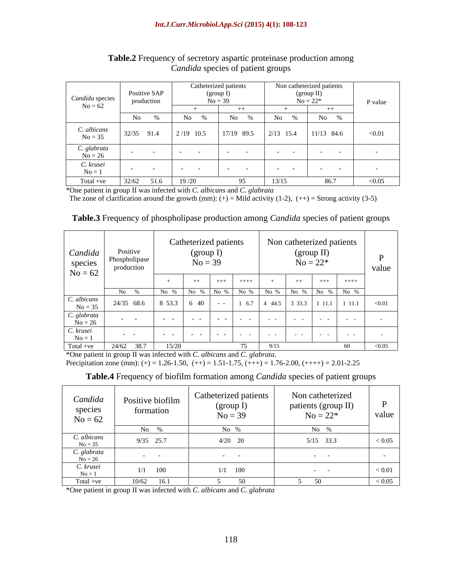| Candida species<br>No = $62$ | Positive SAP<br>production                                                                                      | Catheterized patients<br>(group I)                              | Non catheterized patients<br>$No = 22*$                            |      | P value |
|------------------------------|-----------------------------------------------------------------------------------------------------------------|-----------------------------------------------------------------|--------------------------------------------------------------------|------|---------|
|                              | No No                                                                                                           | $++$                                                            | $++$                                                               |      |         |
| $C.$ albicans<br>No = 35     |                                                                                                                 |                                                                 |                                                                    |      | < 0.01  |
| C. glabrata<br>$No = 26$     |                                                                                                                 | the company of the company<br>the company of the company of the | and the state of the state of<br>and the contract of the con-      |      |         |
| C. krusei<br>$No = 1$        | the contract of the contract of the contract of the contract of the contract of the contract of the contract of | and the contract of the con-<br>the company of the company of   | the company of the company of the<br>the company of the company of |      |         |
| $Total +ve$                  | 32/62 51.6 19/20                                                                                                |                                                                 | 13/15                                                              | 86.7 | < 0.05  |

### **Table.2** Frequency of secretory aspartic proteinase production among *Candida* species of patient groups

\*One patient in group II was infected with *C. albicans* and *C. glabrata*

The zone of clarification around the growth (mm): (+) = Mild activity (1-2), (++) = Strong activity (3-5)

| Candida<br>species<br>$No = 62$ | Positive<br>Phospholipas<br>production |                                   | (group 1)<br>$No = 3$ | Catheterized patients                     |                                            | (group II)<br>$No = 22*$                                                                                      | Non catheterized patients                                                                            | value  |
|---------------------------------|----------------------------------------|-----------------------------------|-----------------------|-------------------------------------------|--------------------------------------------|---------------------------------------------------------------------------------------------------------------|------------------------------------------------------------------------------------------------------|--------|
|                                 |                                        |                                   | $++$                  | $++++$<br>$++++$                          |                                            | $++$                                                                                                          | $++++$   $+++$                                                                                       |        |
| C. albicans                     | 24/35 68.6                             |                                   | $853.3640$ --         |                                           |                                            |                                                                                                               | To %   No %   No %   No %   No %   No %   No %   No 9<br>  1 6.7   4 44.5   3 33.3   1 11.1   1 11.1 | < 0.01 |
| $\frac{No = 35}{C. \;glabrata}$ |                                        | $\sim$ - $\sim$ - $\sim$ - $\sim$ |                       | $\sim$ $\sim$ $\sim$ $\sim$ $\sim$ $\sim$ |                                            | 1999 - 1999 - 1999 - 1999 - 1999 - 1999 - 1999 - 1999 - 1999 - 1999 - 1999 - 1999 - 1999 - 1999 - 1999 - 1999 | the company of the company of                                                                        |        |
| $No = 26$<br>C. krusei          | $\sim$ 100 $\sim$ 100 $\sim$           | $ -$                              | .                     |                                           | <b>Contract Contract</b><br>the company of | $ -$                                                                                                          |                                                                                                      |        |
| $No = 1$<br>$Total +ve$         | 24/62                                  | 15/20                             |                       |                                           | 9/15                                       |                                                                                                               |                                                                                                      | < 0.05 |

### **Table.3** Frequency of phospholipase production among *Candida* species of patient groups

\*One patient in group II was infected with *C. albicans* and *C. glabrata*.

Precipitation zone (mm): (+) = 1.26-1.50, (++) = 1.51-1.75, (+++) = 1.76-2.00, (++++) = 2.01-2.25

**Table.4** Frequency of biofilm formation among *Candida* species of patient groups

\*One patient in group II was infected with *C. albicans* and *C. glabrata*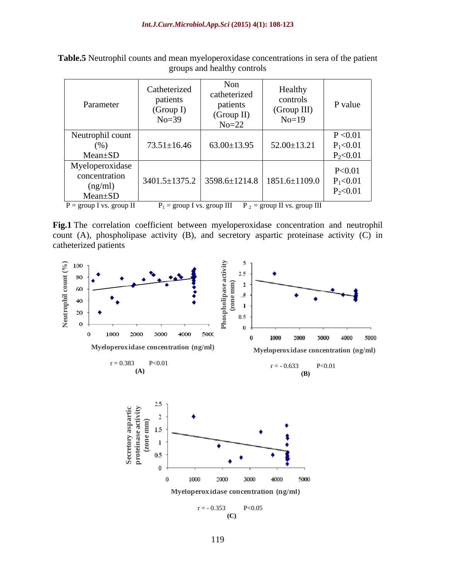| Parameter                  | Catheterized<br>patients<br>(Group I)<br>$No=39$ | Non<br>catheterized<br>patients<br>(Group II)<br>$No=22$    | Healthy<br>controls<br>(Group III)<br>$No=19$                | P value      |
|----------------------------|--------------------------------------------------|-------------------------------------------------------------|--------------------------------------------------------------|--------------|
| Neutrophil count           |                                                  |                                                             |                                                              | P < 0.01     |
| (%)                        | $73.51 \pm 16.46$                                | $63.00 \pm 13.95$                                           | $52.00 \pm 13.21$                                            | $P_1 < 0.01$ |
| $Mean \pm SD$              |                                                  |                                                             |                                                              | $P_2<0.01$   |
| Myeloperoxidase            |                                                  |                                                             |                                                              | P<0.01       |
| concentration              |                                                  | $3401.5 \pm 1375.2$ 3598.6 $\pm$ 1214.8 1851.6 $\pm$ 1109.0 |                                                              | $P_1 < 0.01$ |
| (ng/ml)<br>Mean±SD         |                                                  |                                                             |                                                              | $P_2<0.01$   |
| $P = group I$ vs. group II |                                                  |                                                             | $P_1$ = group I vs. group III $P_2$ = group II vs. group III |              |

**Table.5** Neutrophil counts and mean myeloperoxidase concentrations in sera of the patient groups and healthy controls

**Fig.1** The correlation coefficient between myeloperoxidase concentration and neutrophil count (A), phospholipase activity (B), and secretory aspartic proteinase activity (C) in catheterized patients

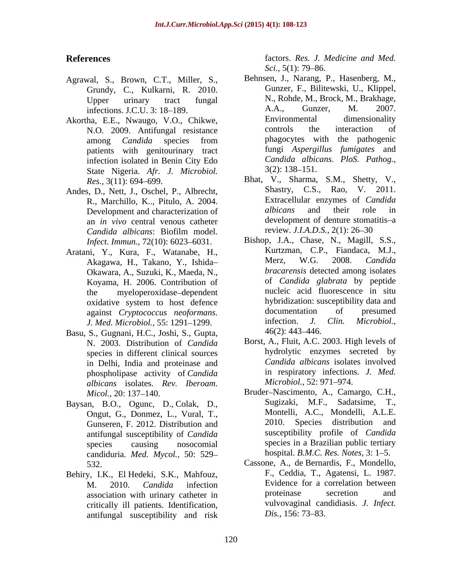- Agrawal, S., Brown, C.T., Miller, S., Grundy, C., Kulkarni, R. 2010.
- N.O. 2009. Antifungal resistance patients with genitourinary tract infection isolated in Benin City Edo<br>State Nigeria *Afr I Microbiol* 3(2): 138–151. State Nigeria. *Afr. J. Microbiol.*
- Andes, D., Nett, J., Oschel, P., Albrecht, R., Marchillo, K.., Pitulo, A. 2004. Extracellular enzymes of *Car*<br>Development and characterization of *albicans* and their role an *in vivo* central venous catheter
- Aratani, Y., Kura, F., Watanabe, H., Kurtzman, C.P., Fiandaca, M.J., Akagawa H. Takano Y. Ishida harrews Merz, W.G. 2008. Candida Akagawa, H., Takano, Y., Ishida Okawara, A., Suzuki, K., Maeda, N., Koyama, H. 2006. Contribution of
- Basu, S., Gugnani, H.C., Joshi, S., Gupta, N. 2003. Distribution of *Candida*  species in different clinical sources in Delhi, India and proteinase and phospholipase activity of *Candida* in respiratory infections<br>albicans isolates Rev Iberoam Microbiol., 52: 971–974. *albicans* isolates. *Rev. Iberoam.*
- Gunseren, F. 2012. Distribution and antifungal susceptibility of *Candida* candiduria. *Med. Mycol.,* 50: 529
- Behiry, I.K., El Hedeki, S.K., Mahfouz, critically ill patients. Identification, vulvovaginal can<br>antifungal susceptibility and risk  $Dis. 156: 73-83$ . antifungal susceptibility and risk

**References** factors. *Res. J. Medicine and Med. Sci.,* 5(1): 79–86.

- Upper urinary tract fungal N., Rohde, M., Brock, M., Brakhage, infections. J.C.U. 3: 18–189. A.A., Gunzer, M. 2007. Akortha, E.E., Nwaugo, V.O., Chikwe, Environmental dimensionality<br>N.O. 2009 Antifungal resistance controls the interaction of among *Candida* species from phagocytes with the pathogenic Behnsen, J., Narang, P., Hasenberg, M., Gunzer, F., Bilitewski, U., Klippel, A.A., Gunzer, M. 2007. Environmental dimensionality controls the interaction of phagocytes with the pathogenic fungi *Aspergillus fumigates* and *Candida albicans. PloS. Pathog.,*  $3(2)$ : 138–151.
	- *Res.*, 3(11): 694–699. Bhat, V., Sharma, S.M., Shetty, V., Development and characterization of *albicans* and their role in *Candida albicans*: Biofilm model. Shastry, C.S., Rao, V. 2011. Extracellular enzymes of *Candida albicans* and their role in development of denture stomatitis-a review. *J.I.A.D.S.*, 2(1): 26–30
	- *Infect. Immun.,* 72(10): 6023–6031. Bishop, J.A., Chase, N., Magill, S.S., the myeloperoxidase dependent nucleic acid fluorescence in situ oxidative system to host defence hybridization: susceptibility data and against *Cryptococcus neoformans*. documentation of presumed<br> *I Med Microbiol* 55:1291–1299 infection. *J. Clin. Microbiol. J. Med. Microbiol.*, 55: 1291–1299. **Infection.** *J.*<br> *S. Gugnani* H.C. Joshi *S. Gunta* 46(2): 443–446. Kurtzman, C.P., Fiandaca, M.J., Merz, W.G. 2008. *Candida bracarensis* detected among isolates of *Candida glabrata* by peptide hybridization: susceptibility data and documentation of presumed infection. *J. Clin. Microbiol.,*  $46(2): 443 - 446.$ 
		- Borst, A., Fluit, A.C. 2003. High levels of hydrolytic enzymes secreted by *Candida albicans* isolates involved in respiratory infections. *J. Med. Microbiol.,* 52: 971–974.
- *Micol.*, 20: 137–140. **Bruder–Nascimento, A., Camargo, C.H.**, Baysan, B.O., Ogunc, D., Colak, D., Sugizaki, M.F., Sadatsime, T., Ongut, G., Donmez, L., Vural, T., Montelli, A.C., Mondelli, A.L.E.<br>Gunseren F 2012 Distribution and 2010. Species distribution and species causing nosocomial species in a Brazilian public tertiary Sugizaki, M.F., Sadatsime, Montelli, A.C., Mondelli, A.L.E. 2010. Species distribution and susceptibility profile of *Candida* hospital. *B.M.C. Res. Notes*, 3: 1–5.
	- 532. Cassone, A., de Bernardis, F., Mondello, M. 2010. *Candida* infection Evidence for a correlation between association with urinary catheter in proteinase secretion and F., Ceddia, T., Agatensi, L. 1987. proteinase secretion and vulvovaginal candidiasis. *J. Infect. Dis.,* 156: 73–83.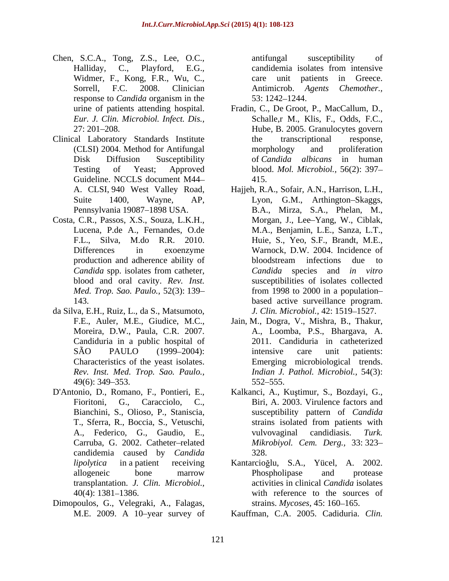- Chen, S.C.A., Tong, Z.S., Lee, O.C., Halliday, C., Playford, E.G., Widmer, F., Kong, F.R., Wu, C., care unit patients in Greece. Sorrell, F.C. 2008. Clinician Antimicrob. Agents Chemother., response to *Candida* organism in the
- Clinical Laboratory Standards Institute Guideline. NCCLS document M44– 415.
- Costa, C.R., Passos, X.S., Souza, L.K.H.,
- da Silva, E.H., Ruiz, L., da S., Matsumoto, Candiduria in a public hospital of *Rev. Inst. Med. Trop. Sao. Paulo.,*
- D'Antonio, D., Romano, F., Pontieri, E., Kalkanci, A., Kuştimur, S., Bozdayi, G., candidemia caused by *Candida*
- Dimopoulos, G., Velegraki, A., Falagas,

antifungal susceptibility of candidemia isolates from intensive care unit patients in Greece. Antimicrob. *Agents Chemother.,* 53: 1242–1244.

- urine of patients attending hospital. Fradin, C., De Groot, P., MacCallum, D., *Eur. J. Clin. Microbiol. Infect. Dis.,* Schalle,r M., Klis, F., Odds, F.C., 27: 201 208. Hube, B. 2005. Granulocytes govern (CLSI) 2004. Method for Antifungal Disk Diffusion Susceptibility of Candida albicans in human Testing of Yeast; Approved blood. *Mol. Microbiol.,* 56(2): 397 the transcriptional response, morphology and proliferation of *Candida albicans* in human 415.
- A. CLSI, 940 West Valley Road, Hajjeh, R.A., Sofair, A.N., Harrison, L.H., Suite 1400, Wayne, AP, Lyon, G.M., Arthington–Skaggs, Pennsylvania 19087–1898 USA. B.A., Mirza, S.A., Phelan, M., Lucena, P.de A., Fernandes, O.de M.A., Benjamin, L.E., Sanza, L.T., F.L., Silva, M.do R.R. 2010. Huie, S., Yeo, S.F., Brandt, M.E., Differences in exoenzyme Warnock, D.W. 2004. Incidence of production and adherence ability of *Candida* spp. isolates from catheter, blood and oral cavity. *Rev. Inst.* susceptibilities of isolates collected *Med. Trop. Sao. Paulo.,* 52(3): 139 143. based active surveillance program. Morgan, J., Lee-Yang, W., Ciblak, bloodstream infections due to *Candida* species and *in vitro* from 1998 to 2000 in a population *J. Clin. Microbiol., 42: 1519-1527.*
- F.E., Auler, M.E., Giudice, M.C., Jain, M., Dogra, V., Mishra, B., Thakur, Moreira, D.W., Paula, C.R. 2007. A., Loomba, P.S., Bhargava, A. SÃO PAULO (1999–2004): intensive care unit patients: Characteristics of the yeast isolates. Emerging microbiological trends. 49(6): 349 353. 2011. Candiduria in catheterized intensive care unit patients: *Indian J. Pathol. Microbiol.,* 54(3):  $552 - 555$ .
- Fioritoni, G., Caracciolo, C., Biri, A. 2003. Virulence factors and Bianchini, S., Olioso, P., Staniscia, susceptibility pattern of *Candida* T., Sferra, R., Boccia, S., Vetuschi, A., Federico, G., Gaudio, E., Carruba, G. 2002. Catheter related *Mikrobiyol. Cem. Derg.,* 33: 323 strains isolated from patients with vulvovaginal candidiasis. *Turk.*  328.
- lipolytica in a patient receiving Kantarcioğlu, S.A., Yücel, A. 2002. allogeneic bone marrow Phospholipase and protease transplantation. *J. Clin. Microbiol.,* activities in clinical *Candida* isolates 40(4): 1381 1386. with reference to the sources of Phospholipase and protease strains. *Mycoses*, 45: 160–165.

M.E. 2009. A 10-year survey of Kauffman, C.A. 2005. Cadiduria. *Clin*.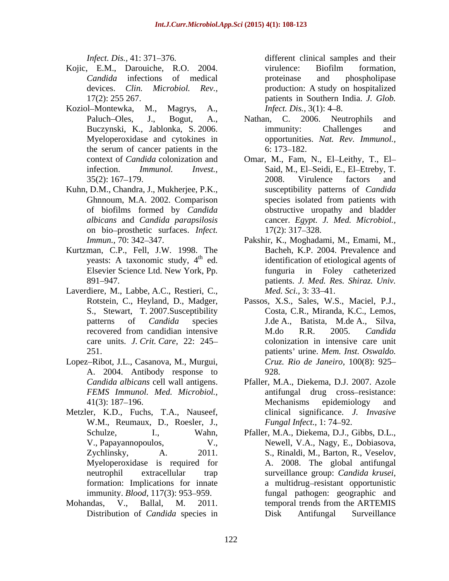- Kojic, E.M., Darouiche, R.O. 2004.
- Koziol-Montewka, M., Magrys, A., *Infect. Dis.*, 3(1): 4–8.
- Kuhn, D.M., Chandra, J., Mukherjee, P.K., on bio-prosthetic surfaces. *Infect*. 17(2): 317-328.
- Kurtzman, C.P., Fell, J.W. 1998. The yeasts: A taxonomic study, 4<sup>th</sup> ed.
- Laverdiere, M., Labbe, A.C., Restieri, C., Med. Sci., 3: 33–41. care units. *J. Crit. Care,* 22: 245
- Lopez-Ribot, J.L., Casanova, M., Murgui, A. 2004. Antibody response to
- Metzler, K.D., Fuchs, T.A., Nauseef, clinical significance. *J. Invasive* W.M., Reumaux, D., Roesler, J., Fungal Infect., 1:74–92.
- Mohandas, V., Ballal, M. 2011. temporal trends from the ARTEMIS

*Infect. Dis.*, 41: 371–376. **different clinical samples and their** *Candida* infections of medical devices. *Clin. Microbiol. Rev.,* production: A study on hospitalized 17(2): 255 267. patients in Southern India. *J. Glob.* virulence: Biofilm formation, proteinase and phospholipase *Infect. Dis.,* 3(1): 4–8.

- Paluch Oles, J., Bogut, A., Nathan, C. 2006. Neutrophils and Buczynski, K., Jablonka, S. 2006. **immunity:** Challenges and Myeloperoxidase and cytokines in opportunities. *Nat. Rev. Immunol.,* the serum of cancer patients in the 6:173–182. immunity: Challenges and 6: 173 182.
- context of *Candida* colonization and Omar, M., Fam, N., El-Leithy, T., Elinfection. *Immunol. Invest.*, Said, M., El-Seidi, E., El-Etreby, T. 35(2): 167–179. 2008. Virulence factors and Ghnnoum, M.A. 2002. Comparison species isolated from patients with of biofilms formed by *Candida*  obstructive uropathy and bladder *albicans* and *Candida parapsilosis* cancer. *Egypt. J. Med. Microbiol.,* 2008. Virulence factors and susceptibility patterns of *Candida* species isolated from patients with  $17(2)$ : 317–328.
- *Immun.*, 70: 342–347. **Pakshir, K., Moghadami, M., Emami, M.**, <sup>th</sup> ed. identification of etiological agents of Elsevier Science Ltd. New York, Pp. funguria in Foley catheterized 891 947. patients. *J. Med. Res. Shiraz. Univ.*  Bacheh, K.P. 2004. Prevalence and *Med. Sci., 3:* 33–41.
- Rotstein, C., Heyland, D., Madger, Passos, X.S., Sales, W.S., Maciel, P.J., S., Stewart, T. 2007.Susceptibility Costa, C.R., Miranda, K.C., Lemos, patterns of *Candida* species J.de A., Batista, M.de A., Silva, recovered from candidian intensive M.do R.R. 2005. Candida 251. patients urine. *Mem. Inst. Oswaldo.* M.do R.R. 2005. *Candida*  colonization in intensive care unit *Cruz. Rio de Janeiro,* 100(8): 925 928.
- *Candida albicans* cell wall antigens. Pfaller, M.A., Diekema, D.J. 2007. Azole *FEMS Immunol. Med. Microbiol.,* antifungal drug cross resistance: 41(3): 187–196. Mechanisms epidemiology and Mechanisms epidemiology and *Fungal Infect.,* 1: 74–92.
- Schulze, I., Wahn, Pfaller, M.A., Diekema, D.J., Gibbs, D.L., V., Papayannopoulos, V., Newell, V.A., Nagy, E., Dobiasova, V., Papayannopoulos, V., Newell, V.A., Nagy, E., Dobiasova, Zychlinsky, A. 2011. S., Rinaldi, M., Barton, R., Veselov, Myeloperoxidase is required for A. 2008. The global antifungal neutrophil extracellular trap surveillance group: Candida krusei, formation: Implications for innate a multidrug-resistant opportunistic immunity. *Blood*, 117(3): 953–959. Tungal pathogen: geographic and Distribution of *Candida* species in surveillance group: *Candida krusei*,<br>a multidrug–resistant opportunistic temporal trends from the ARTEMIS Disk Antifungal Surveillance